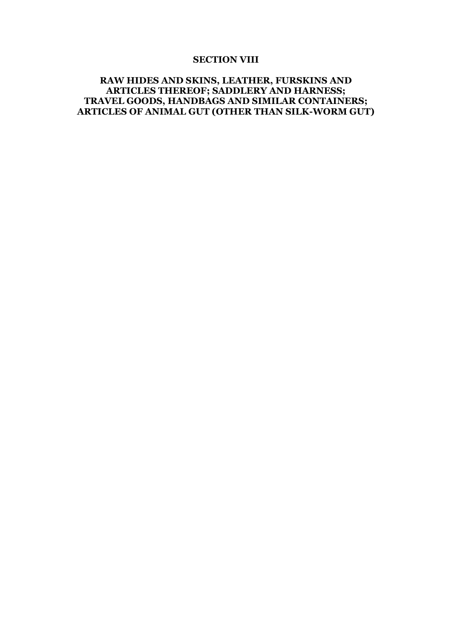#### **SECTION VIII**

# **RAW HIDES AND SKINS, LEATHER, FURSKINS AND ARTICLES THEREOF; SADDLERY AND HARNESS; TRAVEL GOODS, HANDBAGS AND SIMILAR CONTAINERS; ARTICLES OF ANIMAL GUT (OTHER THAN SILK-WORM GUT)**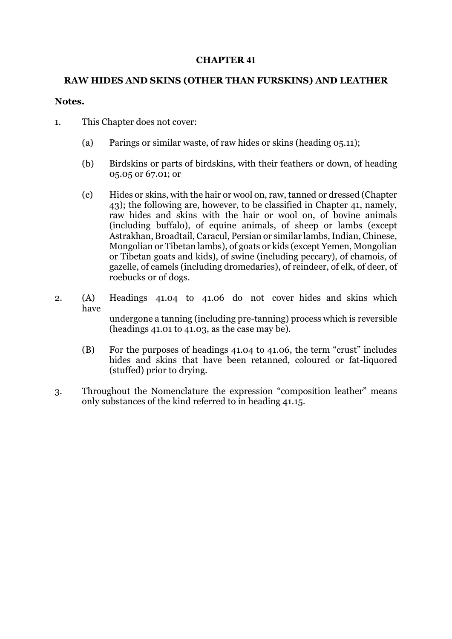## **CHAPTER 41**

# **RAW HIDES AND SKINS (OTHER THAN FURSKINS) AND LEATHER**

## **Notes.**

- 1. This Chapter does not cover:
	- (a) Parings or similar waste, of raw hides or skins (heading 05.11);
	- (b) Birdskins or parts of birdskins, with their feathers or down, of heading 05.05 or 67.01; or
	- (c) Hides or skins, with the hair or wool on, raw, tanned or dressed (Chapter 43); the following are, however, to be classified in Chapter 41, namely, raw hides and skins with the hair or wool on, of bovine animals (including buffalo), of equine animals, of sheep or lambs (except Astrakhan, Broadtail, Caracul, Persian or similar lambs, Indian, Chinese, Mongolian or Tibetan lambs), of goats or kids (except Yemen, Mongolian or Tibetan goats and kids), of swine (including peccary), of chamois, of gazelle, of camels (including dromedaries), of reindeer, of elk, of deer, of roebucks or of dogs.
- 2. (A) Headings 41.04 to 41.06 do not cover hides and skins which have

 undergone a tanning (including pre-tanning) process which is reversible (headings 41.01 to 41.03, as the case may be).

- (B) For the purposes of headings 41.04 to 41.06, the term "crust" includes hides and skins that have been retanned, coloured or fat-liquored (stuffed) prior to drying.
- 3. Throughout the Nomenclature the expression "composition leather" means only substances of the kind referred to in heading 41.15.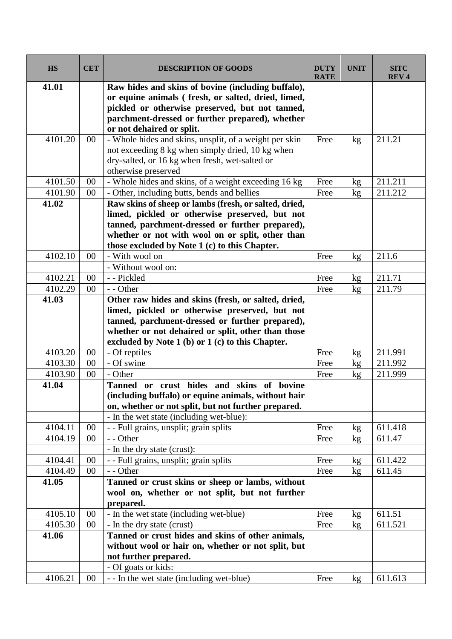| <b>HS</b>          | <b>CET</b>       | <b>DESCRIPTION OF GOODS</b>                                                                              | <b>DUTY</b><br><b>RATE</b> | <b>UNIT</b>     | <b>SITC</b><br><b>REV4</b> |
|--------------------|------------------|----------------------------------------------------------------------------------------------------------|----------------------------|-----------------|----------------------------|
| 41.01              |                  | Raw hides and skins of bovine (including buffalo),<br>or equine animals (fresh, or salted, dried, limed, |                            |                 |                            |
|                    |                  | pickled or otherwise preserved, but not tanned,                                                          |                            |                 |                            |
|                    |                  | parchment-dressed or further prepared), whether                                                          |                            |                 |                            |
|                    |                  | or not dehaired or split.                                                                                |                            |                 |                            |
| 4101.20            | $00\,$           | - Whole hides and skins, unsplit, of a weight per skin                                                   | Free                       | kg              | 211.21                     |
|                    |                  | not exceeding 8 kg when simply dried, 10 kg when                                                         |                            |                 |                            |
|                    |                  | dry-salted, or 16 kg when fresh, wet-salted or                                                           |                            |                 |                            |
|                    |                  | otherwise preserved                                                                                      |                            |                 |                            |
| 4101.50            | 00               | - Whole hides and skins, of a weight exceeding 16 kg                                                     | Free                       | kg              | 211.211                    |
| 4101.90            | 00               | - Other, including butts, bends and bellies                                                              | Free                       | kg              | 211.212                    |
| 41.02              |                  | Raw skins of sheep or lambs (fresh, or salted, dried,                                                    |                            |                 |                            |
|                    |                  | limed, pickled or otherwise preserved, but not                                                           |                            |                 |                            |
|                    |                  | tanned, parchment-dressed or further prepared),                                                          |                            |                 |                            |
|                    |                  | whether or not with wool on or split, other than<br>those excluded by Note 1 (c) to this Chapter.        |                            |                 |                            |
| 4102.10            | 00               | - With wool on                                                                                           | Free                       | kg              | 211.6                      |
|                    |                  | - Without wool on:                                                                                       |                            |                 |                            |
| 4102.21            | 00               | - - Pickled                                                                                              | Free                       | kg              | 211.71                     |
| 4102.29            | 00               | - - Other                                                                                                | Free                       | kg              | 211.79                     |
| 41.03              |                  | Other raw hides and skins (fresh, or salted, dried,                                                      |                            |                 |                            |
|                    |                  | limed, pickled or otherwise preserved, but not                                                           |                            |                 |                            |
|                    |                  | tanned, parchment-dressed or further prepared),                                                          |                            |                 |                            |
|                    |                  | whether or not dehaired or split, other than those                                                       |                            |                 |                            |
|                    |                  | excluded by Note $1$ (b) or $1$ (c) to this Chapter.                                                     |                            |                 |                            |
| 4103.20            | 00               | - Of reptiles                                                                                            | Free                       | kg              | 211.991                    |
| 4103.30            | 00               | - Of swine                                                                                               | Free                       | kg              | 211.992                    |
| 4103.90            | 00               | - Other                                                                                                  | Free                       | kg              | 211.999                    |
| 41.04              |                  | or crust hides and skins of<br><b>Tanned</b><br>bovine                                                   |                            |                 |                            |
|                    |                  | (including buffalo) or equine animals, without hair                                                      |                            |                 |                            |
|                    |                  | on, whether or not split, but not further prepared.                                                      |                            |                 |                            |
|                    |                  | - In the wet state (including wet-blue):                                                                 |                            |                 |                            |
| 4104.11<br>4104.19 | $00\,$<br>$00\,$ | - - Full grains, unsplit; grain splits<br>- - Other                                                      | Free<br>Free               | kg              | 611.418<br>611.47          |
|                    |                  | - In the dry state (crust):                                                                              |                            | kg              |                            |
| 4104.41            | 00               | - - Full grains, unsplit; grain splits                                                                   | Free                       | kg              | 611.422                    |
| 4104.49            | $00\,$           | - - Other                                                                                                | Free                       | kg              | 611.45                     |
| 41.05              |                  | Tanned or crust skins or sheep or lambs, without                                                         |                            |                 |                            |
|                    |                  | wool on, whether or not split, but not further                                                           |                            |                 |                            |
|                    |                  | prepared.                                                                                                |                            |                 |                            |
| 4105.10            | 00               | - In the wet state (including wet-blue)                                                                  | Free                       | kg              | 611.51                     |
| 4105.30            | $00\,$           | - In the dry state (crust)                                                                               | Free                       | kg              | 611.521                    |
| 41.06              |                  | Tanned or crust hides and skins of other animals,                                                        |                            |                 |                            |
|                    |                  | without wool or hair on, whether or not split, but                                                       |                            |                 |                            |
|                    |                  | not further prepared.                                                                                    |                            |                 |                            |
|                    |                  | - Of goats or kids:                                                                                      |                            |                 |                            |
| 4106.21            | 00               | - - In the wet state (including wet-blue)                                                                | Free                       | kg <sub>2</sub> | 611.613                    |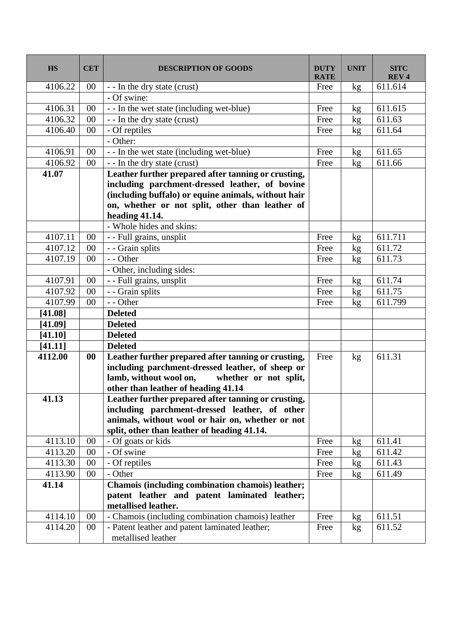| <b>HS</b> | <b>CET</b> | <b>DESCRIPTION OF GOODS</b>                                          | <b>DUTY</b><br><b>RATE</b> | <b>UNIT</b> | <b>SITC</b><br><b>REV4</b> |
|-----------|------------|----------------------------------------------------------------------|----------------------------|-------------|----------------------------|
| 4106.22   | 00         | - - In the dry state (crust)                                         | Free                       | kg          | 611.614                    |
|           |            | - Of swine:                                                          |                            |             |                            |
| 4106.31   | 00         | - - In the wet state (including wet-blue)                            | Free                       | kg          | 611.615                    |
| 4106.32   | $00\,$     | - - In the dry state (crust)                                         | Free                       | kg          | 611.63                     |
| 4106.40   | 00         | - Of reptiles                                                        | Free                       | kg          | 611.64                     |
|           |            | - Other:                                                             |                            |             |                            |
| 4106.91   | $00\,$     | - - In the wet state (including wet-blue)                            | Free                       | kg          | 611.65                     |
| 4106.92   | $00\,$     | - - In the dry state (crust)                                         | Free                       | kg          | 611.66                     |
| 41.07     |            | Leather further prepared after tanning or crusting,                  |                            |             |                            |
|           |            | including parchment-dressed leather, of bovine                       |                            |             |                            |
|           |            | (including buffalo) or equine animals, without hair                  |                            |             |                            |
|           |            | on, whether or not split, other than leather of                      |                            |             |                            |
|           |            | heading 41.14.                                                       |                            |             |                            |
|           |            | - Whole hides and skins:                                             |                            |             |                            |
| 4107.11   | 00         | - - Full grains, unsplit                                             | Free                       | kg          | 611.711                    |
| 4107.12   | 00         | - - Grain splits                                                     | Free                       | kg          | 611.72                     |
| 4107.19   | 00         | - - Other                                                            | Free                       | kg          | 611.73                     |
|           |            | - Other, including sides:                                            |                            |             |                            |
| 4107.91   | $00\,$     | - - Full grains, unsplit                                             | Free                       | kg          | 611.74                     |
| 4107.92   | 00         | - - Grain splits                                                     | Free                       | kg          | 611.75                     |
| 4107.99   | 00         | - - Other                                                            | Free                       | kg          | 611.799                    |
| [41.08]   |            | <b>Deleted</b>                                                       |                            |             |                            |
| [41.09]   |            | <b>Deleted</b>                                                       |                            |             |                            |
| [41.10]   |            | <b>Deleted</b>                                                       |                            |             |                            |
| [41.11]   |            | <b>Deleted</b>                                                       |                            |             |                            |
| 4112.00   | $\bf{00}$  | Leather further prepared after tanning or crusting,                  | Free                       | kg          | 611.31                     |
|           |            | including parchment-dressed leather, of sheep or                     |                            |             |                            |
|           |            | lamb, without wool on,<br>whether or not split,                      |                            |             |                            |
|           |            | other than leather of heading 41.14                                  |                            |             |                            |
| 41.13     |            | Leather further prepared after tanning or crusting,                  |                            |             |                            |
|           |            | including parchment-dressed leather, of other                        |                            |             |                            |
|           |            | animals, without wool or hair on, whether or not                     |                            |             |                            |
|           |            | split, other than leather of heading 41.14.                          |                            |             |                            |
| 4113.10   | 00         | - Of goats or kids                                                   | Free                       | kg          | 611.41                     |
| 4113.20   | 00         | - Of swine                                                           | Free                       | kg          | 611.42                     |
| 4113.30   | 00         | - Of reptiles                                                        | Free                       | kg          | 611.43                     |
| 4113.90   | 00         | - Other                                                              | Free                       | kg          | 611.49                     |
| 41.14     |            | Chamois (including combination chamois) leather;                     |                            |             |                            |
|           |            | patent leather and patent laminated leather;                         |                            |             |                            |
|           |            | metallised leather.                                                  |                            |             |                            |
| 4114.10   | $00\,$     | - Chamois (including combination chamois) leather                    | Free                       | kg          | 611.51                     |
| 4114.20   | $00\,$     | - Patent leather and patent laminated leather;<br>metallised leather | Free                       | kg          | 611.52                     |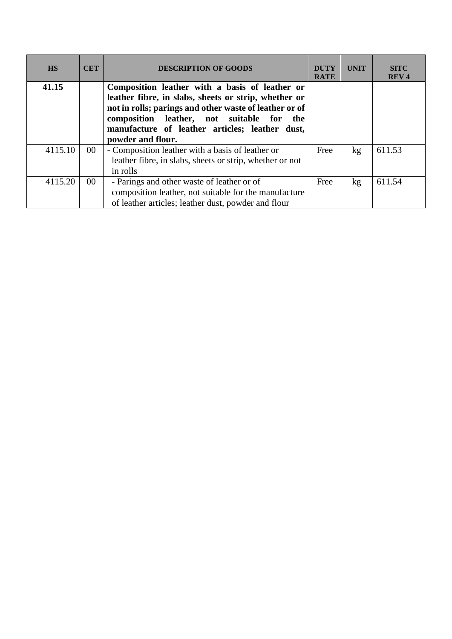| <b>HS</b> | <b>CET</b>      | <b>DESCRIPTION OF GOODS</b>                                                                                                                                                                                                                                                             | <b>DUTY</b><br><b>RATE</b> | <b>UNIT</b>     | <b>SITC</b><br><b>REV4</b> |
|-----------|-----------------|-----------------------------------------------------------------------------------------------------------------------------------------------------------------------------------------------------------------------------------------------------------------------------------------|----------------------------|-----------------|----------------------------|
| 41.15     |                 | Composition leather with a basis of leather or<br>leather fibre, in slabs, sheets or strip, whether or<br>not in rolls; parings and other waste of leather or of<br>composition leather, not suitable for<br>the<br>manufacture of leather articles; leather dust,<br>powder and flour. |                            |                 |                            |
| 4115.10   | 00 <sup>°</sup> | - Composition leather with a basis of leather or<br>leather fibre, in slabs, sheets or strip, whether or not<br>in rolls                                                                                                                                                                | Free                       | kg <sub>1</sub> | 611.53                     |
| 4115.20   | $00\,$          | - Parings and other waste of leather or of<br>composition leather, not suitable for the manufacture<br>of leather articles; leather dust, powder and flour                                                                                                                              | Free                       | kg <sub>1</sub> | 611.54                     |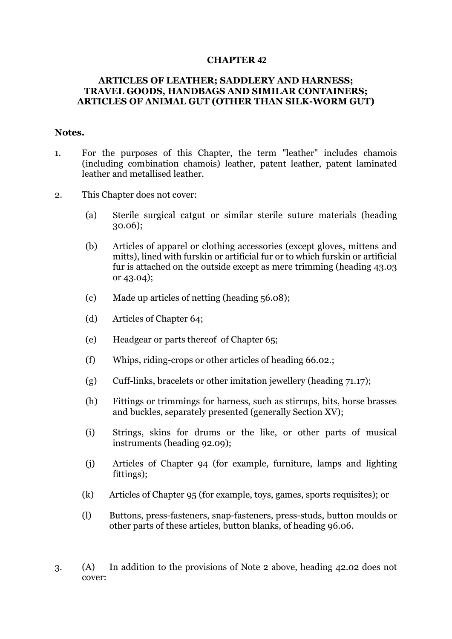### **CHAPTER 42**

## **ARTICLES OF LEATHER; SADDLERY AND HARNESS; TRAVEL GOODS, HANDBAGS AND SIMILAR CONTAINERS; ARTICLES OF ANIMAL GUT (OTHER THAN SILK-WORM GUT)**

### **Notes.**

- 1. For the purposes of this Chapter, the term "leather" includes chamois (including combination chamois) leather, patent leather, patent laminated leather and metallised leather.
- 2. This Chapter does not cover:
	- (a) Sterile surgical catgut or similar sterile suture materials (heading 30.06);
	- (b) Articles of apparel or clothing accessories (except gloves, mittens and mitts), lined with furskin or artificial fur or to which furskin or artificial fur is attached on the outside except as mere trimming (heading 43.03 or 43.04);
	- (c) Made up articles of netting (heading 56.08);
	- (d) Articles of Chapter 64;
	- (e) Headgear or parts thereof of Chapter 65;
	- (f) Whips, riding-crops or other articles of heading 66.02.;
	- (g) Cuff-links, bracelets or other imitation jewellery (heading 71.17);
	- (h) Fittings or trimmings for harness, such as stirrups, bits, horse brasses and buckles, separately presented (generally Section XV);
	- (i) Strings, skins for drums or the like, or other parts of musical instruments (heading 92.09);
	- (j) Articles of Chapter 94 (for example, furniture, lamps and lighting fittings);
	- (k) Articles of Chapter 95 (for example, toys, games, sports requisites); or
	- (l) Buttons, press-fasteners, snap-fasteners, press-studs, button moulds or other parts of these articles, button blanks, of heading 96.06.
- 3. (A) In addition to the provisions of Note 2 above, heading 42.02 does not cover: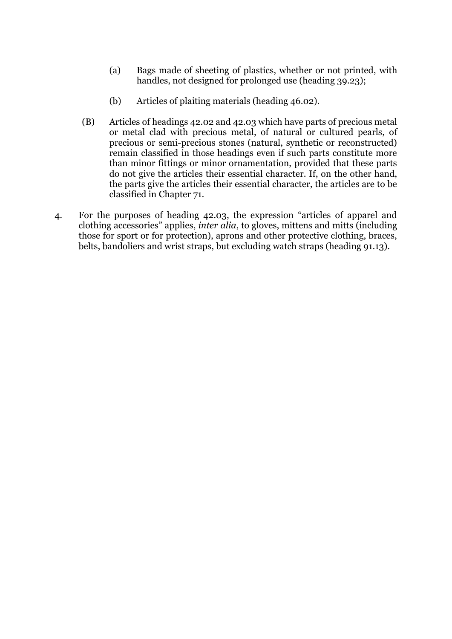- (a) Bags made of sheeting of plastics, whether or not printed, with handles, not designed for prolonged use (heading 39.23);
- (b) Articles of plaiting materials (heading 46.02).
- (B) Articles of headings 42.02 and 42.03 which have parts of precious metal or metal clad with precious metal, of natural or cultured pearls, of precious or semi-precious stones (natural, synthetic or reconstructed) remain classified in those headings even if such parts constitute more than minor fittings or minor ornamentation, provided that these parts do not give the articles their essential character. If, on the other hand, the parts give the articles their essential character, the articles are to be classified in Chapter 71.
- 4. For the purposes of heading 42.03, the expression "articles of apparel and clothing accessories" applies, *inter alia*, to gloves, mittens and mitts (including those for sport or for protection), aprons and other protective clothing, braces, belts, bandoliers and wrist straps, but excluding watch straps (heading 91.13).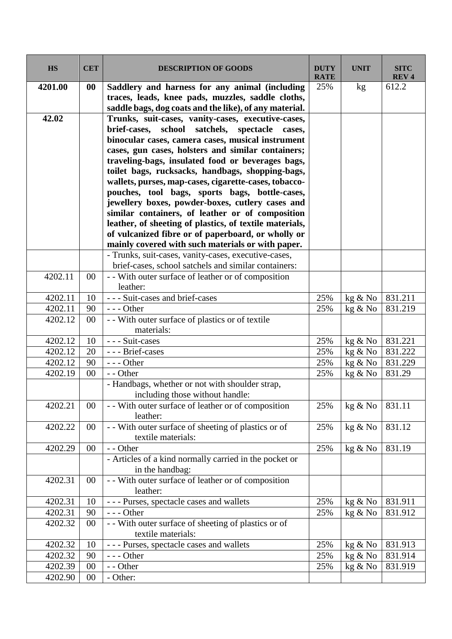| <b>HS</b> | <b>CET</b> | <b>DESCRIPTION OF GOODS</b>                                                                                                                                                                                                                                                                                                                                                                                                                                                                                                                          | <b>DUTY</b><br><b>RATE</b> | <b>UNIT</b> | <b>SITC</b><br><b>REV4</b> |
|-----------|------------|------------------------------------------------------------------------------------------------------------------------------------------------------------------------------------------------------------------------------------------------------------------------------------------------------------------------------------------------------------------------------------------------------------------------------------------------------------------------------------------------------------------------------------------------------|----------------------------|-------------|----------------------------|
| 4201.00   | 00         | Saddlery and harness for any animal (including<br>traces, leads, knee pads, muzzles, saddle cloths,<br>saddle bags, dog coats and the like), of any material.                                                                                                                                                                                                                                                                                                                                                                                        | 25%                        | kg          | 612.2                      |
| 42.02     |            | Trunks, suit-cases, vanity-cases, executive-cases,<br>satchels,<br>brief-cases, school<br>spectacle<br>cases,<br>binocular cases, camera cases, musical instrument<br>cases, gun cases, holsters and similar containers;<br>traveling-bags, insulated food or beverages bags,<br>toilet bags, rucksacks, handbags, shopping-bags,<br>wallets, purses, map-cases, cigarette-cases, tobacco-<br>pouches, tool bags, sports bags, bottle-cases,<br>jewellery boxes, powder-boxes, cutlery cases and<br>similar containers, of leather or of composition |                            |             |                            |
|           |            | leather, of sheeting of plastics, of textile materials,<br>of vulcanized fibre or of paperboard, or wholly or                                                                                                                                                                                                                                                                                                                                                                                                                                        |                            |             |                            |
|           |            | mainly covered with such materials or with paper.<br>- Trunks, suit-cases, vanity-cases, executive-cases,<br>brief-cases, school satchels and similar containers:                                                                                                                                                                                                                                                                                                                                                                                    |                            |             |                            |
| 4202.11   | $00\,$     | - - With outer surface of leather or of composition<br>leather:                                                                                                                                                                                                                                                                                                                                                                                                                                                                                      |                            |             |                            |
| 4202.11   | 10         | - - - Suit-cases and brief-cases                                                                                                                                                                                                                                                                                                                                                                                                                                                                                                                     | 25%                        | kg & No     | 831.211                    |
| 4202.11   | 90         | $--$ Other                                                                                                                                                                                                                                                                                                                                                                                                                                                                                                                                           | 25%                        | kg & No     | 831.219                    |
| 4202.12   | $00\,$     | - - With outer surface of plastics or of textile<br>materials:                                                                                                                                                                                                                                                                                                                                                                                                                                                                                       |                            |             |                            |
| 4202.12   | 10         | --- Suit-cases                                                                                                                                                                                                                                                                                                                                                                                                                                                                                                                                       | 25%                        | kg & No     | 831.221                    |
| 4202.12   | 20         | --- Brief-cases                                                                                                                                                                                                                                                                                                                                                                                                                                                                                                                                      | 25%                        | kg & No     | 831.222                    |
| 4202.12   | 90         | $--$ Other                                                                                                                                                                                                                                                                                                                                                                                                                                                                                                                                           | 25%                        | kg & No     | 831.229                    |
| 4202.19   | 00         | - - Other                                                                                                                                                                                                                                                                                                                                                                                                                                                                                                                                            | 25%                        | kg & No     | 831.29                     |
|           |            | - Handbags, whether or not with shoulder strap,<br>including those without handle:                                                                                                                                                                                                                                                                                                                                                                                                                                                                   |                            |             |                            |
| 4202.21   | $00\,$     | - With outer surface of leather or of composition<br>leather:                                                                                                                                                                                                                                                                                                                                                                                                                                                                                        | 25%                        | kg & No     | 831.11                     |
| 4202.22   | $00\,$     | - - With outer surface of sheeting of plastics or of<br>textile materials:                                                                                                                                                                                                                                                                                                                                                                                                                                                                           | 25%                        | kg & No     | 831.12                     |
| 4202.29   | $00\,$     | - - Other                                                                                                                                                                                                                                                                                                                                                                                                                                                                                                                                            | 25%                        | kg & No     | 831.19                     |
|           |            | - Articles of a kind normally carried in the pocket or<br>in the handbag:                                                                                                                                                                                                                                                                                                                                                                                                                                                                            |                            |             |                            |
| 4202.31   | $00\,$     | - - With outer surface of leather or of composition<br>leather:                                                                                                                                                                                                                                                                                                                                                                                                                                                                                      |                            |             |                            |
| 4202.31   | 10         | --- Purses, spectacle cases and wallets                                                                                                                                                                                                                                                                                                                                                                                                                                                                                                              | 25%                        | kg & No     | 831.911                    |
| 4202.31   | 90         | $--$ Other                                                                                                                                                                                                                                                                                                                                                                                                                                                                                                                                           | 25%                        | kg & No     | 831.912                    |
| 4202.32   | $00\,$     | - - With outer surface of sheeting of plastics or of<br>textile materials:                                                                                                                                                                                                                                                                                                                                                                                                                                                                           |                            |             |                            |
| 4202.32   | 10         | --- Purses, spectacle cases and wallets                                                                                                                                                                                                                                                                                                                                                                                                                                                                                                              | 25%                        | kg & No     | 831.913                    |
| 4202.32   | 90         | $--$ Other                                                                                                                                                                                                                                                                                                                                                                                                                                                                                                                                           | 25%                        | kg & No     | 831.914                    |
| 4202.39   | 00         | - - Other                                                                                                                                                                                                                                                                                                                                                                                                                                                                                                                                            | 25%                        | kg & No     | 831.919                    |
| 4202.90   | 00         | - Other:                                                                                                                                                                                                                                                                                                                                                                                                                                                                                                                                             |                            |             |                            |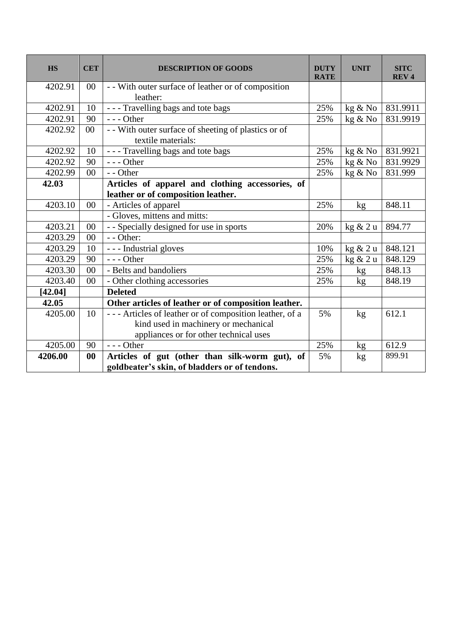| <b>HS</b> | <b>CET</b> | <b>DESCRIPTION OF GOODS</b>                             | <b>DUTY</b><br><b>RATE</b> | <b>UNIT</b>     | <b>SITC</b><br><b>REV4</b> |
|-----------|------------|---------------------------------------------------------|----------------------------|-----------------|----------------------------|
| 4202.91   | $00\,$     | - With outer surface of leather or of composition       |                            |                 |                            |
|           |            | leather:                                                |                            |                 |                            |
| 4202.91   | 10         | --- Travelling bags and tote bags                       | 25%                        | kg & No         | 831.9911                   |
| 4202.91   | 90         | $--$ Other                                              | 25%                        | kg & No         | 831.9919                   |
| 4202.92   | $00\,$     | - - With outer surface of sheeting of plastics or of    |                            |                 |                            |
|           |            | textile materials:                                      |                            |                 |                            |
| 4202.92   | 10         | --- Travelling bags and tote bags                       | 25%                        | kg & No         | 831.9921                   |
| 4202.92   | 90         | $--$ Other                                              | 25%                        | kg & No         | 831.9929                   |
| 4202.99   | $00\,$     | - - Other                                               | 25%                        | kg & No         | 831.999                    |
| 42.03     |            | Articles of apparel and clothing accessories, of        |                            |                 |                            |
|           |            | leather or of composition leather.                      |                            |                 |                            |
| 4203.10   | 00         | - Articles of apparel                                   | 25%                        | kg              | 848.11                     |
|           |            | - Gloves, mittens and mitts:                            |                            |                 |                            |
| 4203.21   | $00\,$     | - - Specially designed for use in sports                | 20%                        | kg & 2 u        | 894.77                     |
| 4203.29   | 00         | - - Other:                                              |                            |                 |                            |
| 4203.29   | 10         | - - - Industrial gloves                                 | 10%                        | kg & 2 u        | 848.121                    |
| 4203.29   | 90         | $--$ Other                                              | 25%                        | kg & 2 u        | 848.129                    |
| 4203.30   | $00\,$     | - Belts and bandoliers                                  | 25%                        | kg              | 848.13                     |
| 4203.40   | $00\,$     | - Other clothing accessories                            | 25%                        | kg <sub>2</sub> | 848.19                     |
| [42.04]   |            | <b>Deleted</b>                                          |                            |                 |                            |
| 42.05     |            | Other articles of leather or of composition leather.    |                            |                 |                            |
| 4205.00   | 10         | --- Articles of leather or of composition leather, of a | 5%                         | kg              | 612.1                      |
|           |            | kind used in machinery or mechanical                    |                            |                 |                            |
|           |            | appliances or for other technical uses                  |                            |                 |                            |
| 4205.00   | 90         | $--$ Other                                              | 25%                        | kg              | 612.9                      |
| 4206.00   | 00         | Articles of gut (other than silk-worm gut), of          | 5%                         | kg              | 899.91                     |
|           |            | goldbeater's skin, of bladders or of tendons.           |                            |                 |                            |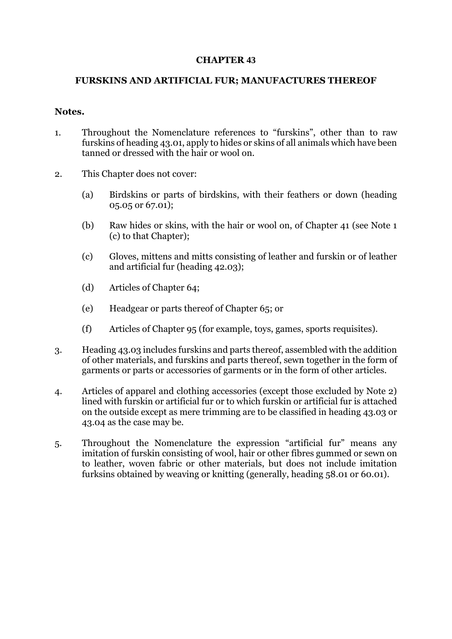# **CHAPTER 43**

## **FURSKINS AND ARTIFICIAL FUR; MANUFACTURES THEREOF**

#### **Notes.**

- 1. Throughout the Nomenclature references to "furskins", other than to raw furskins of heading 43.01, apply to hides or skins of all animals which have been tanned or dressed with the hair or wool on.
- 2. This Chapter does not cover:
	- (a) Birdskins or parts of birdskins, with their feathers or down (heading 05.05 or 67.01);
	- (b) Raw hides or skins, with the hair or wool on, of Chapter 41 (see Note 1 (c) to that Chapter);
	- (c) Gloves, mittens and mitts consisting of leather and furskin or of leather and artificial fur (heading 42.03);
	- (d) Articles of Chapter 64;
	- (e) Headgear or parts thereof of Chapter 65; or
	- (f) Articles of Chapter 95 (for example, toys, games, sports requisites).
- 3. Heading 43.03 includes furskins and parts thereof, assembled with the addition of other materials, and furskins and parts thereof, sewn together in the form of garments or parts or accessories of garments or in the form of other articles.
- 4. Articles of apparel and clothing accessories (except those excluded by Note 2) lined with furskin or artificial fur or to which furskin or artificial fur is attached on the outside except as mere trimming are to be classified in heading 43.03 or 43.04 as the case may be.
- 5. Throughout the Nomenclature the expression "artificial fur" means any imitation of furskin consisting of wool, hair or other fibres gummed or sewn on to leather, woven fabric or other materials, but does not include imitation furksins obtained by weaving or knitting (generally, heading 58.01 or 60.01).